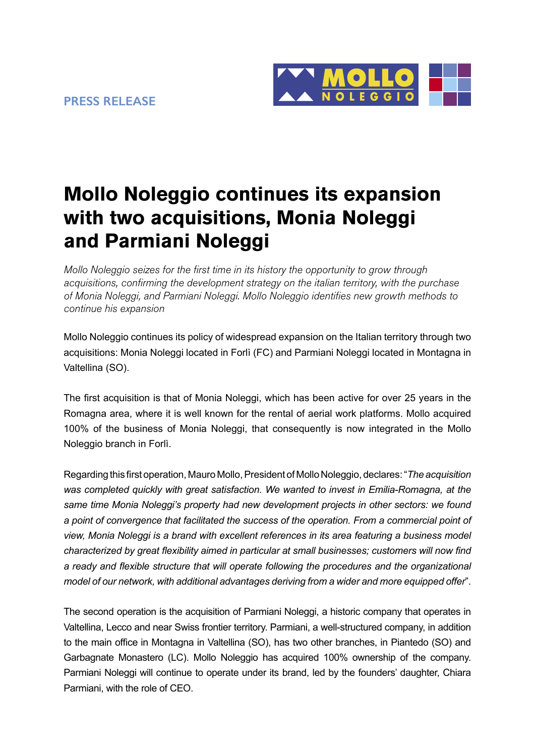

## **Mollo Noleggio continues its expansion with two acquisitions, Monia Noleggi and Parmiani Noleggi**

*Mollo Noleggio seizes for the first time in its history the opportunity to grow through acquisitions, confirming the development strategy on the italian territory, with the purchase of Monia Noleggi, and Parmiani Noleggi. Mollo Noleggio identifies new growth methods to continue his expansion* 

Mollo Noleggio continues its policy of widespread expansion on the Italian territory through two acquisitions: Monia Noleggi located in Forlì (FC) and Parmiani Noleggi located in Montagna in Valtellina (SO).

The first acquisition is that of Monia Noleggi, which has been active for over 25 years in the Romagna area, where it is well known for the rental of aerial work platforms. Mollo acquired 100% of the business of Monia Noleggi, that consequently is now integrated in the Mollo Noleggio branch in Forlì.

Regarding this first operation, Mauro Mollo, President of Mollo Noleggio, declares: "*The acquisition was completed quickly with great satisfaction. We wanted to invest in Emilia-Romagna, at the same time Monia Noleggi's property had new development projects in other sectors: we found a point of convergence that facilitated the success of the operation. From a commercial point of view, Monia Noleggi is a brand with excellent references in its area featuring a business model characterized by great flexibility aimed in particular at small businesses; customers will now find a ready and flexible structure that will operate following the procedures and the organizational model of our network, with additional advantages deriving from a wider and more equipped offer*".

The second operation is the acquisition of Parmiani Noleggi, a historic company that operates in Valtellina, Lecco and near Swiss frontier territory. Parmiani, a well-structured company, in addition to the main office in Montagna in Valtellina (SO), has two other branches, in Piantedo (SO) and Garbagnate Monastero (LC). Mollo Noleggio has acquired 100% ownership of the company. Parmiani Noleggi will continue to operate under its brand, led by the founders' daughter, Chiara Parmiani, with the role of CEO.